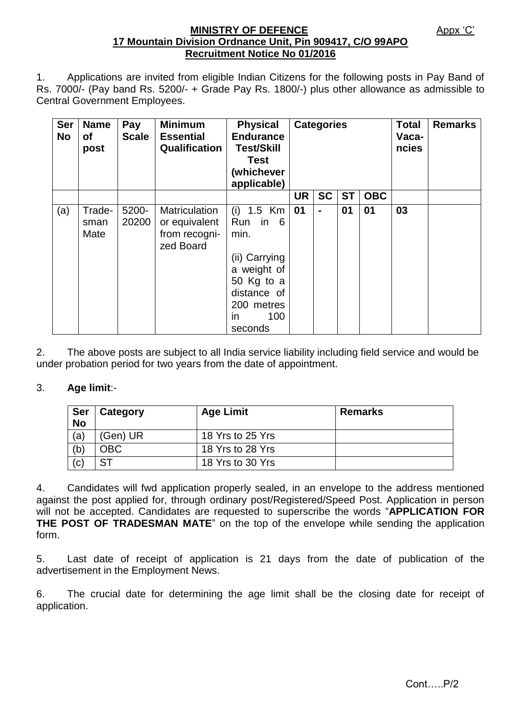#### **MINISTRY OF DEFENCE** Appx 'C' **17 Mountain Division Ordnance Unit, Pin 909417, C/O 99APO Recruitment Notice No 01/2016**

1. Applications are invited from eligible Indian Citizens for the following posts in Pay Band of Rs. 7000/- (Pay band Rs. 5200/- + Grade Pay Rs. 1800/-) plus other allowance as admissible to Central Government Employees.

| <b>Ser</b><br><b>No</b> | <b>Name</b><br><b>of</b><br>post | Pay<br><b>Scale</b> | <b>Minimum</b><br><b>Essential</b><br>Qualification          | <b>Physical</b><br><b>Endurance</b><br><b>Test/Skill</b><br><b>Test</b><br>(whichever<br>applicable)                                                 | <b>Categories</b> |                |           |            | <b>Total</b><br>Vaca-<br>ncies | <b>Remarks</b> |
|-------------------------|----------------------------------|---------------------|--------------------------------------------------------------|------------------------------------------------------------------------------------------------------------------------------------------------------|-------------------|----------------|-----------|------------|--------------------------------|----------------|
|                         |                                  |                     |                                                              |                                                                                                                                                      | <b>UR</b>         | <b>SC</b>      | <b>ST</b> | <b>OBC</b> |                                |                |
| (a)                     | Trade-<br>sman<br>Mate           | 5200-<br>20200      | Matriculation<br>or equivalent<br>from recogni-<br>zed Board | 1.5 Km<br>(i)<br>Run<br>- 6<br>in.<br>min.<br>(ii) Carrying<br>a weight of<br>50 Kg to a<br>distance of<br>200 metres<br>100<br><i>in</i><br>seconds | 01                | $\blacksquare$ | 01        | 01         | 03                             |                |

2. The above posts are subject to all India service liability including field service and would be under probation period for two years from the date of appointment.

## 3. **Age limit**:-

| Ser<br><b>No</b> | Category | <b>Age Limit</b> | <b>Remarks</b> |
|------------------|----------|------------------|----------------|
| (a,              | (Gen) UR | 18 Yrs to 25 Yrs |                |
| (b)              | OBC      | 18 Yrs to 28 Yrs |                |
| (c)              | SТ       | 18 Yrs to 30 Yrs |                |

4. Candidates will fwd application properly sealed, in an envelope to the address mentioned against the post applied for, through ordinary post/Registered/Speed Post. Application in person will not be accepted. Candidates are requested to superscribe the words "**APPLICATION FOR THE POST OF TRADESMAN MATE**" on the top of the envelope while sending the application form.

5. Last date of receipt of application is 21 days from the date of publication of the advertisement in the Employment News.

6. The crucial date for determining the age limit shall be the closing date for receipt of application.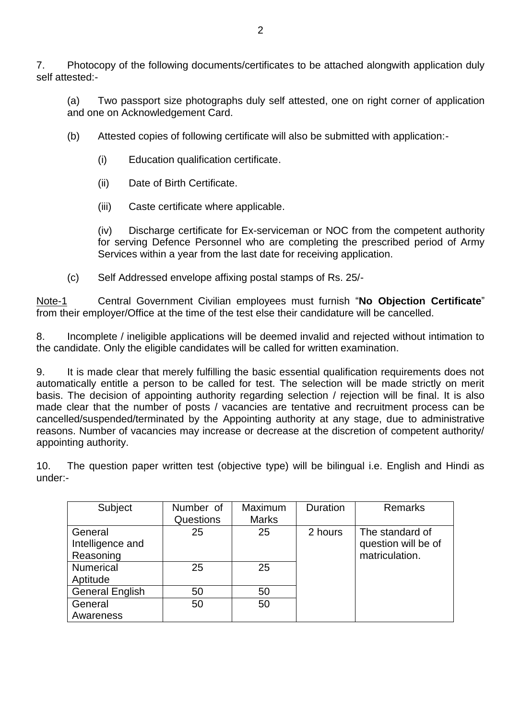7. Photocopy of the following documents/certificates to be attached alongwith application duly self attested:-

(a) Two passport size photographs duly self attested, one on right corner of application and one on Acknowledgement Card.

- (b) Attested copies of following certificate will also be submitted with application:-
	- (i) Education qualification certificate.
	- (ii) Date of Birth Certificate.
	- (iii) Caste certificate where applicable.

(iv) Discharge certificate for Ex-serviceman or NOC from the competent authority for serving Defence Personnel who are completing the prescribed period of Army Services within a year from the last date for receiving application.

(c) Self Addressed envelope affixing postal stamps of Rs. 25/-

Note-1 Central Government Civilian employees must furnish "**No Objection Certificate**" from their employer/Office at the time of the test else their candidature will be cancelled.

8. Incomplete / ineligible applications will be deemed invalid and rejected without intimation to the candidate. Only the eligible candidates will be called for written examination.

9. It is made clear that merely fulfilling the basic essential qualification requirements does not automatically entitle a person to be called for test. The selection will be made strictly on merit basis. The decision of appointing authority regarding selection / rejection will be final. It is also made clear that the number of posts / vacancies are tentative and recruitment process can be cancelled/suspended/terminated by the Appointing authority at any stage, due to administrative reasons. Number of vacancies may increase or decrease at the discretion of competent authority/ appointing authority.

10. The question paper written test (objective type) will be bilingual i.e. English and Hindi as under:-

| Subject                | Number of | Maximum      | Duration | <b>Remarks</b>      |  |
|------------------------|-----------|--------------|----------|---------------------|--|
|                        | Questions | <b>Marks</b> |          |                     |  |
| General                | 25        | 25           | 2 hours  | The standard of     |  |
| Intelligence and       |           |              |          | question will be of |  |
| Reasoning              |           |              |          | matriculation.      |  |
| <b>Numerical</b>       | 25        | 25           |          |                     |  |
| Aptitude               |           |              |          |                     |  |
| <b>General English</b> | 50        | 50           |          |                     |  |
| General                | 50        | 50           |          |                     |  |
| Awareness              |           |              |          |                     |  |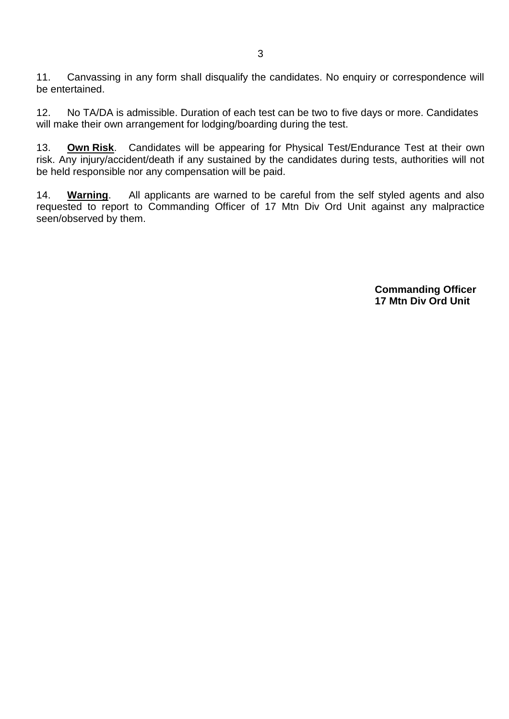11. Canvassing in any form shall disqualify the candidates. No enquiry or correspondence will be entertained.

12. No TA/DA is admissible. Duration of each test can be two to five days or more. Candidates will make their own arrangement for lodging/boarding during the test.

13. **Own Risk**. Candidates will be appearing for Physical Test/Endurance Test at their own risk. Any injury/accident/death if any sustained by the candidates during tests, authorities will not be held responsible nor any compensation will be paid.

14. **Warning**. All applicants are warned to be careful from the self styled agents and also requested to report to Commanding Officer of 17 Mtn Div Ord Unit against any malpractice seen/observed by them.

> **Commanding Officer 17 Mtn Div Ord Unit**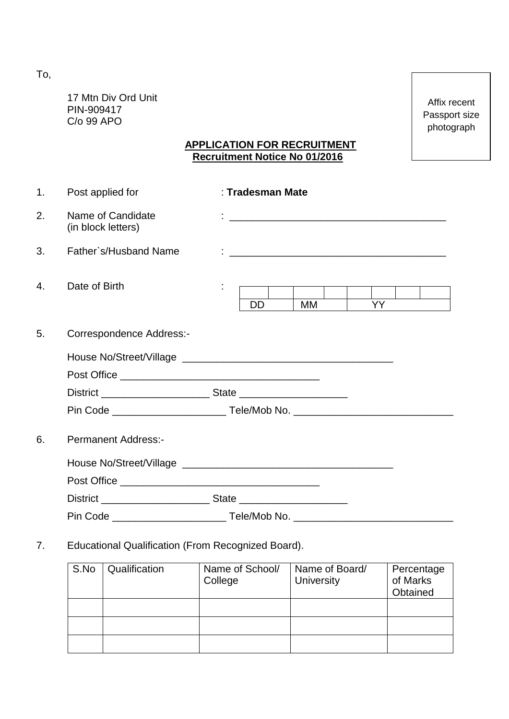To,

17 Mtn Div Ord Unit PIN-909417 C/o 99 APO

Affix recent Passport size photograph

## **APPLICATION FOR RECRUITMENT Recruitment Notice No 01/2016**

| 1 <sub>1</sub> | Post applied for                        | : Tradesman Mate             |
|----------------|-----------------------------------------|------------------------------|
| 2.             | Name of Candidate<br>(in block letters) |                              |
| 3.             | Father`s/Husband Name                   |                              |
| 4.             | Date of Birth                           | <b>YY</b><br><b>DD</b><br>MM |
| 5.             | Correspondence Address:-                |                              |
|                |                                         |                              |
|                |                                         |                              |
|                |                                         |                              |
| 6.             | <b>Permanent Address:-</b>              |                              |
|                |                                         |                              |
|                |                                         |                              |
|                |                                         |                              |
|                |                                         |                              |

# 7. Educational Qualification (From Recognized Board).

| S.No | Qualification | Name of School/<br>College | Name of Board/<br><b>University</b> | Percentage<br>of Marks<br>Obtained |
|------|---------------|----------------------------|-------------------------------------|------------------------------------|
|      |               |                            |                                     |                                    |
|      |               |                            |                                     |                                    |
|      |               |                            |                                     |                                    |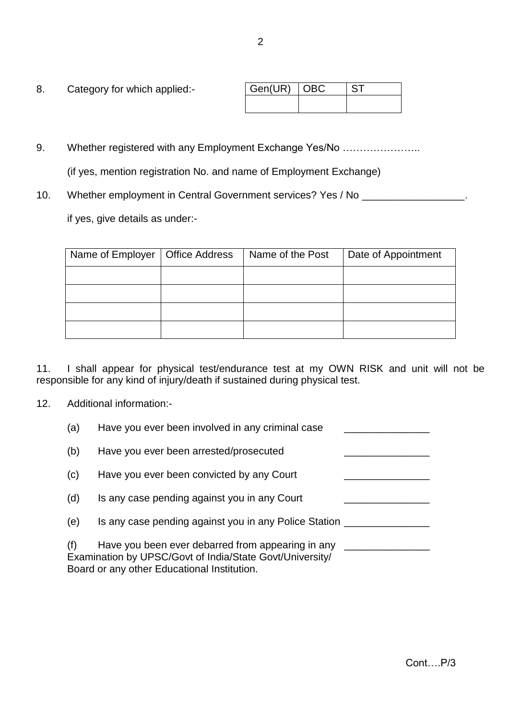| 8. | Category for which applied:- | Gen(UR)   OBC |  |
|----|------------------------------|---------------|--|
|    |                              |               |  |

- 9. Whether registered with any Employment Exchange Yes/No ...................... (if yes, mention registration No. and name of Employment Exchange)
- 10. Whether employment in Central Government services? Yes / No \_\_\_\_\_\_\_\_\_\_\_\_\_\_\_\_

if yes, give details as under:-

| Name of Employer | <b>Office Address</b> | Name of the Post | Date of Appointment |
|------------------|-----------------------|------------------|---------------------|
|                  |                       |                  |                     |
|                  |                       |                  |                     |
|                  |                       |                  |                     |
|                  |                       |                  |                     |

11. I shall appear for physical test/endurance test at my OWN RISK and unit will not be responsible for any kind of injury/death if sustained during physical test.

12. Additional information:-

| (a) | Have you ever been involved in any criminal case                                                                                                             |  |
|-----|--------------------------------------------------------------------------------------------------------------------------------------------------------------|--|
| (b) | Have you ever been arrested/prosecuted                                                                                                                       |  |
| (c) | Have you ever been convicted by any Court                                                                                                                    |  |
| (d) | Is any case pending against you in any Court                                                                                                                 |  |
| (e) | Is any case pending against you in any Police Station _                                                                                                      |  |
| (f) | Have you been ever debarred from appearing in any<br>Examination by UPSC/Govt of India/State Govt/University/<br>Board or any other Educational Institution. |  |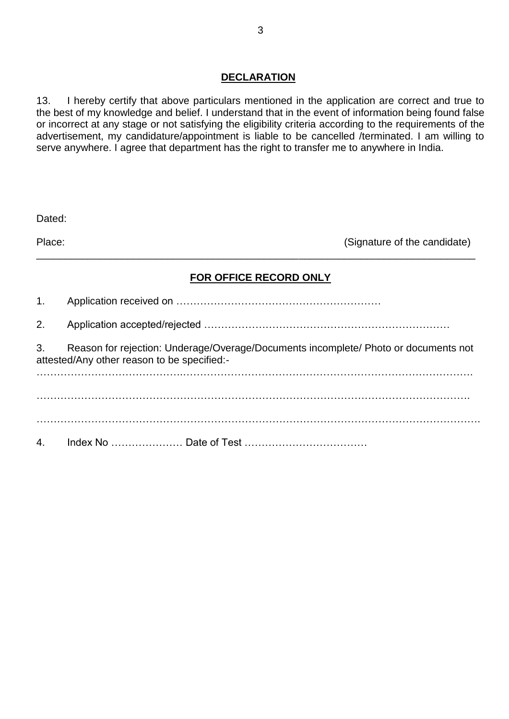#### **DECLARATION**

13. I hereby certify that above particulars mentioned in the application are correct and true to the best of my knowledge and belief. I understand that in the event of information being found false or incorrect at any stage or not satisfying the eligibility criteria according to the requirements of the advertisement, my candidature/appointment is liable to be cancelled /terminated. I am willing to serve anywhere. I agree that department has the right to transfer me to anywhere in India.

| Dated: |                                                                                                                                    |
|--------|------------------------------------------------------------------------------------------------------------------------------------|
| Place: | (Signature of the candidate)                                                                                                       |
|        | FOR OFFICE RECORD ONLY                                                                                                             |
| 1.     |                                                                                                                                    |
| 2.     |                                                                                                                                    |
| 3.     | Reason for rejection: Underage/Overage/Documents incomplete/ Photo or documents not<br>attested/Any other reason to be specified:- |
|        |                                                                                                                                    |
|        |                                                                                                                                    |
| 4.     |                                                                                                                                    |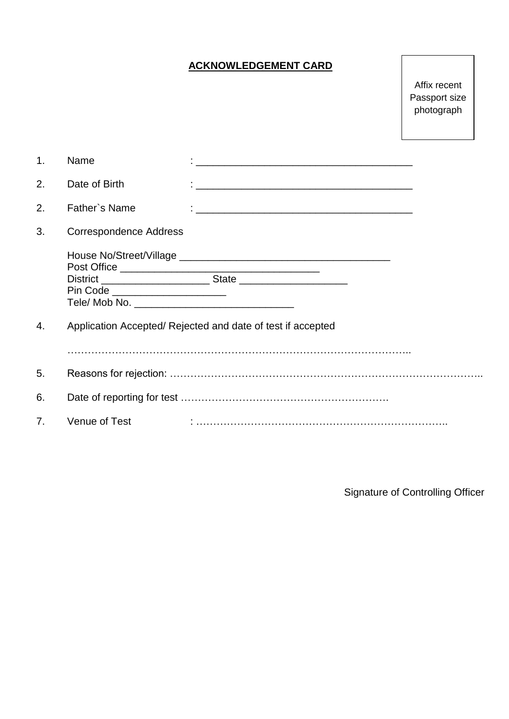# **ACKNOWLEDGEMENT CARD**

Affix recent Passport size photograph

| 1. | Name                            | <u> 1989 - Johann John Stone, mars et al. (1989)</u>       |
|----|---------------------------------|------------------------------------------------------------|
| 2. | Date of Birth                   |                                                            |
| 2. | Father's Name                   |                                                            |
| 3. | <b>Correspondence Address</b>   |                                                            |
|    | Pin Code ______________________ |                                                            |
| 4. |                                 | Application Accepted/Rejected and date of test if accepted |
| 5. |                                 |                                                            |
| 6. |                                 |                                                            |
| 7. | Venue of Test                   |                                                            |

Signature of Controlling Officer